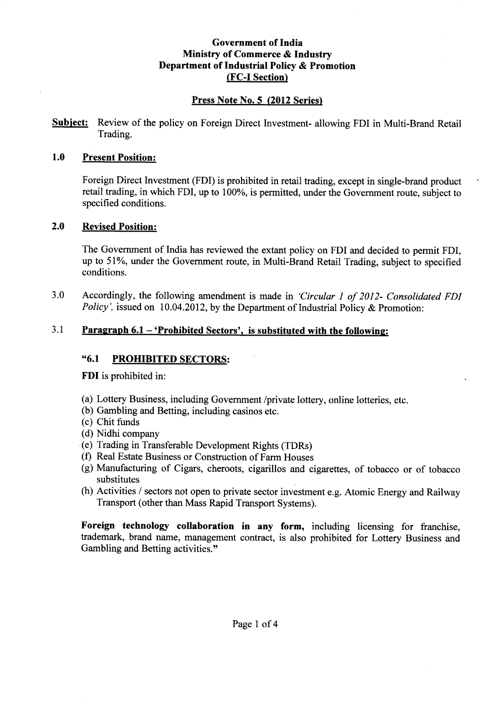#### Government of India Ministry of Commerce & Industry Department of Industrial Policy & Promotion (FC-I Section)

#### Press Note No. 5 (2012 Series)

**Subject:** Review of the policy on Foreign Direct Investment- allowing FDI in Multi-Brand Retail Trading.

#### 1.0 Present Position:

Foreign Direct Investment (FDI) is prohibited in retail trading, except in single-brand product retail trading, in which FDI, up to 100%, is permitted, under the Government route, subject to specified conditions.

#### 2.0 Revised Position:

The Government of India has reviewed the extant policy on FDI and decided to permit FDI, up to 51%, under the Government route, in Multi-Brand Retail Trading, subject to specified conditions.

3.0 Accordingly, the following amendment is made in *'Circular* 1*of 2012- Consolidated FDI Policy'*, issued on 10.04.2012, by the Department of Industrial Policy & Promotion:

#### 3.1 Paragraph  $6.1 - 'Probability'$  Sectors', is substituted with the following:

#### "6.1 PROHIBITED SECTORS:

FDI is prohibited in:

- (a) Lottery Business, including Government /private lottery, online lotteries, etc.
- (b) Gambling and Betting, including casinos etc.
- (c) Chit funds
- (d) Nidhi company
- (e) Trading in Transferable Development Rights (TDRs)
- (f) Real Estate Business or Construction of Farm Houses
- (g) Manufacturing of Cigars, cheroots, cigarillos and cigarettes, of tobacco or of tobacco substitutes
- (h) Activities / sectors not open to private sector investment e.g. Atomic Energy and Railway Transport (other than Mass Rapid Transport Systems).

Foreign technology collaboration in any form, including licensing for franchise, trademark, brand name, management contract, is also prohibited for Lottery Business and Gambling and Betting activities."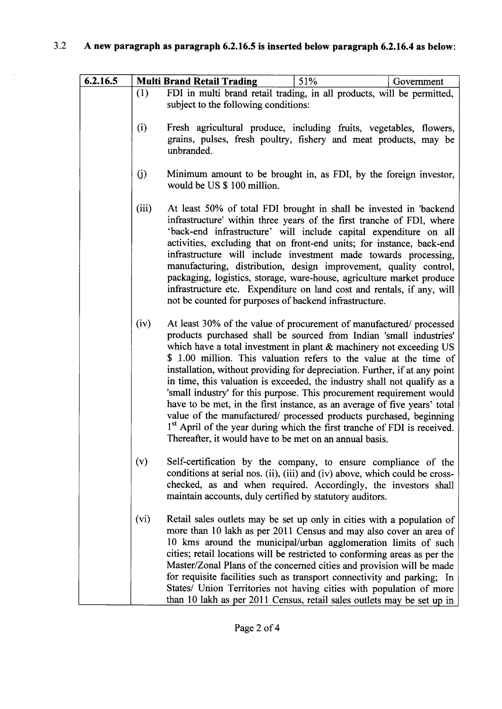# 3.2 A new paragraph as paragraph 6.2.16.5 is inserted below paragraph 6.2.16.4 as below:

 $\bar{\beta}$ 

| 6.2.16.5 |       | 51%<br><b>Multi Brand Retail Trading</b><br>Government                                                                                                                                                                                                                                                                                                                                                                                                                                                                                                                                                                                                                                                                                                                                                                             |
|----------|-------|------------------------------------------------------------------------------------------------------------------------------------------------------------------------------------------------------------------------------------------------------------------------------------------------------------------------------------------------------------------------------------------------------------------------------------------------------------------------------------------------------------------------------------------------------------------------------------------------------------------------------------------------------------------------------------------------------------------------------------------------------------------------------------------------------------------------------------|
|          | (1)   | FDI in multi brand retail trading, in all products, will be permitted,<br>subject to the following conditions:                                                                                                                                                                                                                                                                                                                                                                                                                                                                                                                                                                                                                                                                                                                     |
|          | (i)   | Fresh agricultural produce, including fruits, vegetables, flowers,<br>grains, pulses, fresh poultry, fishery and meat products, may be<br>unbranded.                                                                                                                                                                                                                                                                                                                                                                                                                                                                                                                                                                                                                                                                               |
|          | (j)   | Minimum amount to be brought in, as FDI, by the foreign investor,<br>would be US \$ 100 million.                                                                                                                                                                                                                                                                                                                                                                                                                                                                                                                                                                                                                                                                                                                                   |
|          | (iii) | At least 50% of total FDI brought in shall be invested in 'backend<br>infrastructure' within three years of the first tranche of FDI, where<br>'back-end infrastructure' will include capital expenditure on all<br>activities, excluding that on front-end units; for instance, back-end<br>infrastructure will include investment made towards processing,<br>manufacturing, distribution, design improvement, quality control,<br>packaging, logistics, storage, ware-house, agriculture market produce<br>infrastructure etc. Expenditure on land cost and rentals, if any, will<br>not be counted for purposes of backend infrastructure.                                                                                                                                                                                     |
|          | (iv)  | At least 30% of the value of procurement of manufactured/ processed<br>products purchased shall be sourced from Indian 'small industries'<br>which have a total investment in plant $\&$ machinery not exceeding US<br>\$ 1.00 million. This valuation refers to the value at the time of<br>installation, without providing for depreciation. Further, if at any point<br>in time, this valuation is exceeded, the industry shall not qualify as a<br>'small industry' for this purpose. This procurement requirement would<br>have to be met, in the first instance, as an average of five years' total<br>value of the manufactured/ processed products purchased, beginning<br>1 <sup>st</sup> April of the year during which the first tranche of FDI is received.<br>Thereafter, it would have to be met on an annual basis. |
|          | (v)   | Self-certification by the company, to ensure compliance of the<br>conditions at serial nos. (ii), (iii) and (iv) above, which could be cross-<br>checked, as and when required. Accordingly, the investors shall<br>maintain accounts, duly certified by statutory auditors.                                                                                                                                                                                                                                                                                                                                                                                                                                                                                                                                                       |
|          | (vi)  | Retail sales outlets may be set up only in cities with a population of<br>more than 10 lakh as per 2011 Census and may also cover an area of<br>10 kms around the municipal/urban agglomeration limits of such<br>cities; retail locations will be restricted to conforming areas as per the<br>Master/Zonal Plans of the concerned cities and provision will be made<br>for requisite facilities such as transport connectivity and parking; In<br>States/ Union Territories not having cities with population of more<br>than 10 lakh as per 2011 Census, retail sales outlets may be set up in                                                                                                                                                                                                                                  |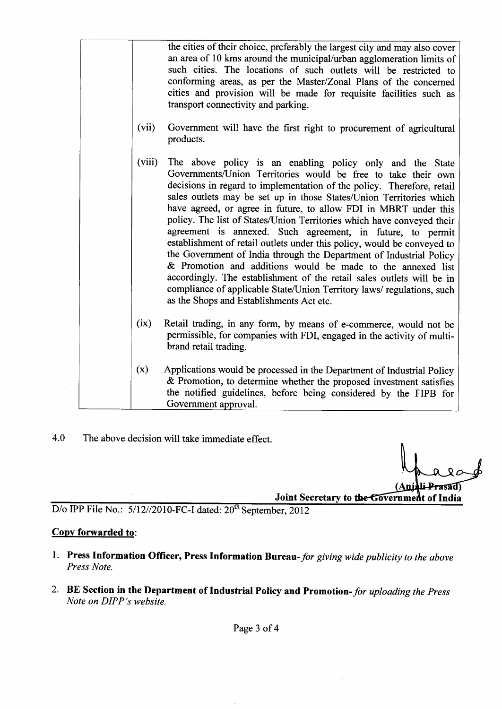|        | the cities of their choice, preferably the largest city and may also cover<br>an area of 10 kms around the municipal/urban agglomeration limits of<br>such cities. The locations of such outlets will be restricted to<br>conforming areas, as per the Master/Zonal Plans of the concerned<br>cities and provision will be made for requisite facilities such as<br>transport connectivity and parking.                                                                                                                                                                                                                                                                                                                                                                                                                                                                                                 |
|--------|---------------------------------------------------------------------------------------------------------------------------------------------------------------------------------------------------------------------------------------------------------------------------------------------------------------------------------------------------------------------------------------------------------------------------------------------------------------------------------------------------------------------------------------------------------------------------------------------------------------------------------------------------------------------------------------------------------------------------------------------------------------------------------------------------------------------------------------------------------------------------------------------------------|
| (vii)  | Government will have the first right to procurement of agricultural<br>products.                                                                                                                                                                                                                                                                                                                                                                                                                                                                                                                                                                                                                                                                                                                                                                                                                        |
| (viii) | The above policy is an enabling policy only and the State<br>Governments/Union Territories would be free to take their own<br>decisions in regard to implementation of the policy. Therefore, retail<br>sales outlets may be set up in those States/Union Territories which<br>have agreed, or agree in future, to allow FDI in MBRT under this<br>policy. The list of States/Union Territories which have conveyed their<br>agreement is annexed. Such agreement, in future, to permit<br>establishment of retail outlets under this policy, would be conveyed to<br>the Government of India through the Department of Industrial Policy<br>& Promotion and additions would be made to the annexed list<br>accordingly. The establishment of the retail sales outlets will be in<br>compliance of applicable State/Union Territory laws/ regulations, such<br>as the Shops and Establishments Act etc. |
| (ix)   | Retail trading, in any form, by means of e-commerce, would not be<br>permissible, for companies with FDI, engaged in the activity of multi-<br>brand retail trading.                                                                                                                                                                                                                                                                                                                                                                                                                                                                                                                                                                                                                                                                                                                                    |
| (x)    | Applications would be processed in the Department of Industrial Policy<br>& Promotion, to determine whether the proposed investment satisfies<br>the notified guidelines, before being considered by the FIPB for<br>Government approval.                                                                                                                                                                                                                                                                                                                                                                                                                                                                                                                                                                                                                                                               |

4.0 The above decision will take immediate effect.

Prasad Joint Secretary to the Government of India

 $\ddot{\phantom{a}}$ 

D/o IPP File No.: 5/12//2010-FC-I dated: 20<sup>th</sup> September, 2012

#### Copy forwarded to:

 $\bar{t}$ 

- 1. Press Information Officer, Press Information Bureau- *for giving wide publicity to the above Press Note.*
- 2. BE Section in the Department of Industrial Policy and Promotion- *for uploading the Press Note on DIPP's website.*